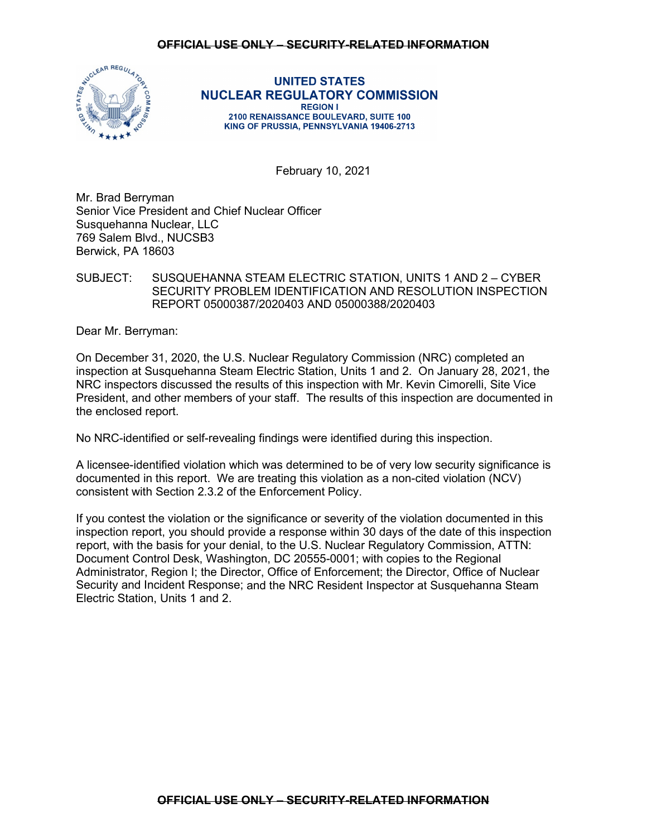# **OFFICIAL USE ONLY – SECURITY-RELATED INFORMATION**



#### **UNITED STATES NUCLEAR REGULATORY COMMISSION REGION I** 2100 RENAISSANCE BOULEVARD, SUITE 100 KING OF PRUSSIA, PENNSYLVANIA 19406-2713

February 10, 2021

Mr. Brad Berryman Senior Vice President and Chief Nuclear Officer Susquehanna Nuclear, LLC 769 Salem Blvd., NUCSB3 Berwick, PA 18603

# SUBJECT: SUSQUEHANNA STEAM ELECTRIC STATION, UNITS 1 AND 2 – CYBER SECURITY PROBLEM IDENTIFICATION AND RESOLUTION INSPECTION REPORT 05000387/2020403 AND 05000388/2020403

Dear Mr. Berryman:

On December 31, 2020, the U.S. Nuclear Regulatory Commission (NRC) completed an inspection at Susquehanna Steam Electric Station, Units 1 and 2. On January 28, 2021, the NRC inspectors discussed the results of this inspection with Mr. Kevin Cimorelli, Site Vice President, and other members of your staff. The results of this inspection are documented in the enclosed report.

No NRC-identified or self-revealing findings were identified during this inspection.

A licensee-identified violation which was determined to be of very low security significance is documented in this report. We are treating this violation as a non-cited violation (NCV) consistent with Section 2.3.2 of the Enforcement Policy.

If you contest the violation or the significance or severity of the violation documented in this inspection report, you should provide a response within 30 days of the date of this inspection report, with the basis for your denial, to the U.S. Nuclear Regulatory Commission, ATTN: Document Control Desk, Washington, DC 20555-0001; with copies to the Regional Administrator, Region I; the Director, Office of Enforcement; the Director, Office of Nuclear Security and Incident Response; and the NRC Resident Inspector at Susquehanna Steam Electric Station, Units 1 and 2.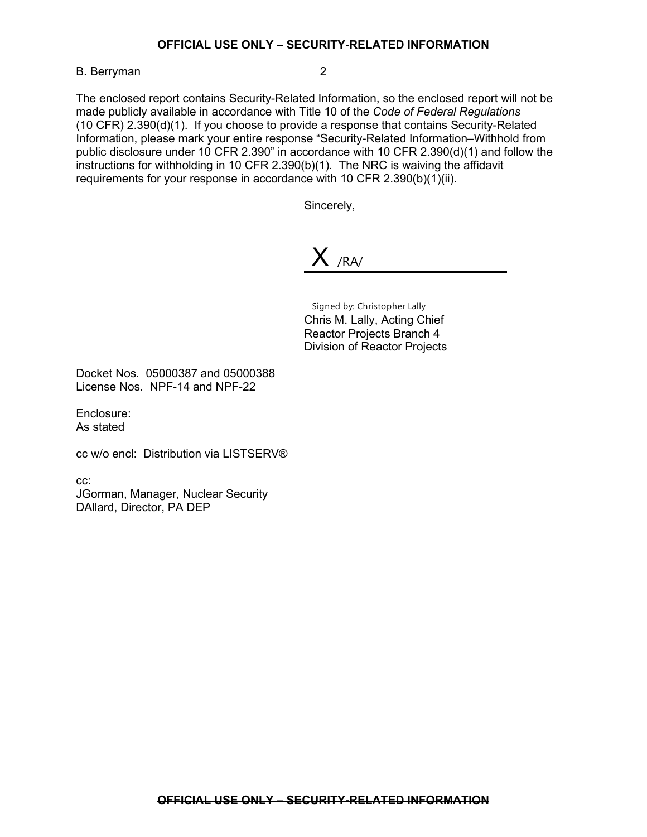B. Berryman 2

The enclosed report contains Security-Related Information, so the enclosed report will not be made publicly available in accordance with Title 10 of the *Code of Federal Regulations* (10 CFR) 2.390(d)(1). If you choose to provide a response that contains Security-Related Information, please mark your entire response "Security-Related Information–Withhold from public disclosure under 10 CFR 2.390" in accordance with 10 CFR 2.390(d)(1) and follow the instructions for withholding in 10 CFR 2.390(b)(1). The NRC is waiving the affidavit requirements for your response in accordance with 10 CFR 2.390(b)(1)(ii).

Sincerely,

X /RA/

Signed by: Christopher Lally Chris M. Lally, Acting Chief Reactor Projects Branch 4 Division of Reactor Projects

Docket Nos. 05000387 and 05000388 License Nos. NPF-14 and NPF-22

Enclosure: As stated

cc w/o encl: Distribution via LISTSERV®

cc:

JGorman, Manager, Nuclear Security DAllard, Director, PA DEP